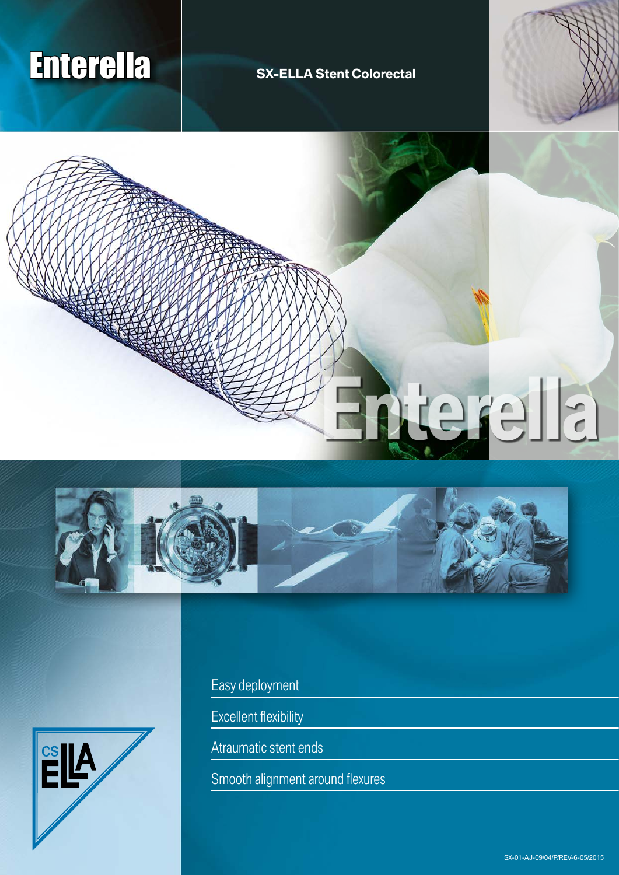# Enterella **SX-ELLA Stent Colorectal**









Easy deployment

Excellent flexibility

Atraumatic stent ends

Smooth alignment around flexures